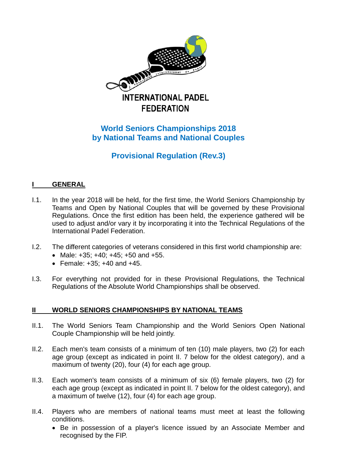

# **World Seniors Championships 2018 by National Teams and National Couples**

**Provisional Regulation (Rev.3)**

# **I GENERAL**

- I.1. In the year 2018 will be held, for the first time, the World Seniors Championship by Teams and Open by National Couples that will be governed by these Provisional Regulations. Once the first edition has been held, the experience gathered will be used to adjust and/or vary it by incorporating it into the Technical Regulations of the International Padel Federation.
- I.2. The different categories of veterans considered in this first world championship are:
	- Male:  $+35$ ;  $+40$ ;  $+45$ ;  $+50$  and  $+55$ .
	- Female:  $+35$ :  $+40$  and  $+45$ .
- I.3. For everything not provided for in these Provisional Regulations, the Technical Regulations of the Absolute World Championships shall be observed.

# **II WORLD SENIORS CHAMPIONSHIPS BY NATIONAL TEAMS**

- II.1. The World Seniors Team Championship and the World Seniors Open National Couple Championship will be held jointly.
- II.2. Each men's team consists of a minimum of ten (10) male players, two (2) for each age group (except as indicated in point II. 7 below for the oldest category), and a maximum of twenty (20), four (4) for each age group.
- II.3. Each women's team consists of a minimum of six (6) female players, two (2) for each age group (except as indicated in point II. 7 below for the oldest category), and a maximum of twelve (12), four (4) for each age group.
- II.4. Players who are members of national teams must meet at least the following conditions.
	- Be in possession of a player's licence issued by an Associate Member and recognised by the FIP.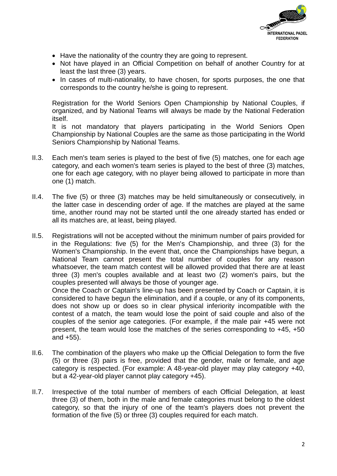

- Have the nationality of the country they are going to represent.
- Not have played in an Official Competition on behalf of another Country for at least the last three (3) years.
- In cases of multi-nationality, to have chosen, for sports purposes, the one that corresponds to the country he/she is going to represent.

Registration for the World Seniors Open Championship by National Couples, if organized, and by National Teams will always be made by the National Federation itself.

It is not mandatory that players participating in the World Seniors Open Championship by National Couples are the same as those participating in the World Seniors Championship by National Teams.

- II.3. Each men's team series is played to the best of five (5) matches, one for each age category, and each women's team series is played to the best of three (3) matches, one for each age category, with no player being allowed to participate in more than one (1) match.
- II.4. The five (5) or three (3) matches may be held simultaneously or consecutively, in the latter case in descending order of age. If the matches are played at the same time, another round may not be started until the one already started has ended or all its matches are, at least, being played.
- II.5. Registrations will not be accepted without the minimum number of pairs provided for in the Regulations: five (5) for the Men's Championship, and three (3) for the Women's Championship. In the event that, once the Championships have begun, a National Team cannot present the total number of couples for any reason whatsoever, the team match contest will be allowed provided that there are at least three (3) men's couples available and at least two (2) women's pairs, but the couples presented will always be those of younger age. Once the Coach or Captain's line-up has been presented by Coach or Captain, it is

considered to have begun the elimination, and if a couple, or any of its components, does not show up or does so in clear physical inferiority incompatible with the contest of a match, the team would lose the point of said couple and also of the couples of the senior age categories. (For example, if the male pair +45 were not present, the team would lose the matches of the series corresponding to +45, +50 and +55).

- II.6. The combination of the players who make up the Official Delegation to form the five (5) or three (3) pairs is free, provided that the gender, male or female, and age category is respected. (For example: A 48-year-old player may play category +40, but a 42-year-old player cannot play category +45).
- II.7. Irrespective of the total number of members of each Official Delegation, at least three (3) of them, both in the male and female categories must belong to the oldest category, so that the injury of one of the team's players does not prevent the formation of the five (5) or three (3) couples required for each match.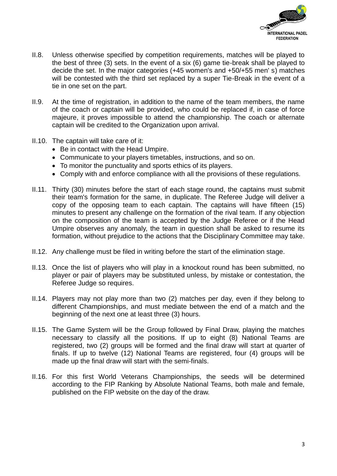

- II.8. Unless otherwise specified by competition requirements, matches will be played to the best of three (3) sets. In the event of a six (6) game tie-break shall be played to decide the set. In the major categories (+45 women's and +50/+55 men' s) matches will be contested with the third set replaced by a super Tie-Break in the event of a tie in one set on the part.
- II.9. At the time of registration, in addition to the name of the team members, the name of the coach or captain will be provided, who could be replaced if, in case of force majeure, it proves impossible to attend the championship. The coach or alternate captain will be credited to the Organization upon arrival.
- II.10. The captain will take care of it:
	- Be in contact with the Head Umpire.
	- Communicate to your players timetables, instructions, and so on.
	- To monitor the punctuality and sports ethics of its players.
	- Comply with and enforce compliance with all the provisions of these regulations.
- II.11. Thirty (30) minutes before the start of each stage round, the captains must submit their team's formation for the same, in duplicate. The Referee Judge will deliver a copy of the opposing team to each captain. The captains will have fifteen (15) minutes to present any challenge on the formation of the rival team. If any objection on the composition of the team is accepted by the Judge Referee or if the Head Umpire observes any anomaly, the team in question shall be asked to resume its formation, without prejudice to the actions that the Disciplinary Committee may take.
- II.12. Any challenge must be filed in writing before the start of the elimination stage.
- II.13. Once the list of players who will play in a knockout round has been submitted, no player or pair of players may be substituted unless, by mistake or contestation, the Referee Judge so requires.
- II.14. Players may not play more than two (2) matches per day, even if they belong to different Championships, and must mediate between the end of a match and the beginning of the next one at least three (3) hours.
- II.15. The Game System will be the Group followed by Final Draw, playing the matches necessary to classify all the positions. If up to eight (8) National Teams are registered, two (2) groups will be formed and the final draw will start at quarter of finals. If up to twelve (12) National Teams are registered, four (4) groups will be made up the final draw will start with the semi-finals.
- II.16. For this first World Veterans Championships, the seeds will be determined according to the FIP Ranking by Absolute National Teams, both male and female, published on the FIP website on the day of the draw.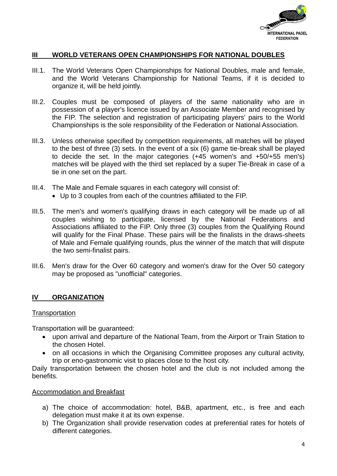

### **III WORLD VETERANS OPEN CHAMPIONSHIPS FOR NATIONAL DOUBLES**

- III.1. The World Veterans Open Championships for National Doubles, male and female, and the World Veterans Championship for National Teams, if it is decided to organize it, will be held jointly.
- III.2. Couples must be composed of players of the same nationality who are in possession of a player's licence issued by an Associate Member and recognised by the FIP. The selection and registration of participating players' pairs to the World Championships is the sole responsibility of the Federation or National Association.
- III.3. Unless otherwise specified by competition requirements, all matches will be played to the best of three (3) sets. In the event of a six (6) game tie-break shall be played to decide the set. In the major categories (+45 women's and +50/+55 men's) matches will be played with the third set replaced by a super Tie-Break in case of a tie in one set on the part.
- III.4. The Male and Female squares in each category will consist of:
	- Up to 3 couples from each of the countries affiliated to the FIP.
- III.5. The men's and women's qualifying draws in each category will be made up of all couples wishing to participate, licensed by the National Federations and Associations affiliated to the FIP. Only three (3) couples from the Qualifying Round will qualify for the Final Phase. These pairs will be the finalists in the draws-sheets of Male and Female qualifying rounds, plus the winner of the match that will dispute the two semi-finalist pairs.
- III.6. Men's draw for the Over 60 category and women's draw for the Over 50 category may be proposed as "unofficial" categories.

### **IV ORGANIZATION**

#### **Transportation**

Transportation will be guaranteed:

- upon arrival and departure of the National Team, from the Airport or Train Station to the chosen Hotel.
- on all occasions in which the Organising Committee proposes any cultural activity, trip or eno-gastronomic visit to places close to the host city.

Daily transportation between the chosen hotel and the club is not included among the benefits.

#### Accommodation and Breakfast

- a) The choice of accommodation: hotel, B&B, apartment, etc., is free and each delegation must make it at its own expense.
- b) The Organization shall provide reservation codes at preferential rates for hotels of different categories.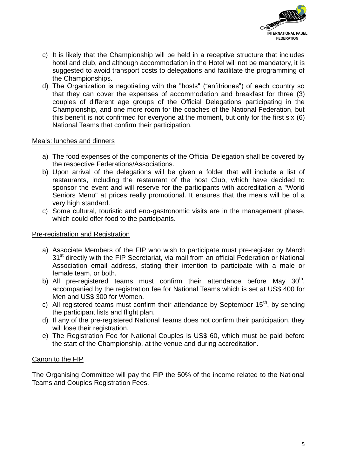

- c) It is likely that the Championship will be held in a receptive structure that includes hotel and club, and although accommodation in the Hotel will not be mandatory, it is suggested to avoid transport costs to delegations and facilitate the programming of the Championships.
- d) The Organization is negotiating with the "hosts" ("anfitriones") of each country so that they can cover the expenses of accommodation and breakfast for three (3) couples of different age groups of the Official Delegations participating in the Championship, and one more room for the coaches of the National Federation, but this benefit is not confirmed for everyone at the moment, but only for the first six (6) National Teams that confirm their participation.

### Meals: lunches and dinners

- a) The food expenses of the components of the Official Delegation shall be covered by the respective Federations/Associations.
- b) Upon arrival of the delegations will be given a folder that will include a list of restaurants, including the restaurant of the host Club, which have decided to sponsor the event and will reserve for the participants with accreditation a "World Seniors Menu" at prices really promotional. It ensures that the meals will be of a very high standard.
- c) Some cultural, touristic and eno-gastronomic visits are in the management phase, which could offer food to the participants.

### Pre-registration and Registration

- a) Associate Members of the FIP who wish to participate must pre-register by March 31<sup>st</sup> directly with the FIP Secretariat, via mail from an official Federation or National Association email address, stating their intention to participate with a male or female team, or both.
- b) All pre-registered teams must confirm their attendance before May  $30<sup>th</sup>$ , accompanied by the registration fee for National Teams which is set at US\$ 400 for Men and US\$ 300 for Women.
- c) All registered teams must confirm their attendance by September  $15<sup>th</sup>$ , by sending the participant lists and flight plan.
- d) If any of the pre-registered National Teams does not confirm their participation, they will lose their registration.
- e) The Registration Fee for National Couples is US\$ 60, which must be paid before the start of the Championship, at the venue and during accreditation.

# Canon to the FIP

The Organising Committee will pay the FIP the 50% of the income related to the National Teams and Couples Registration Fees.